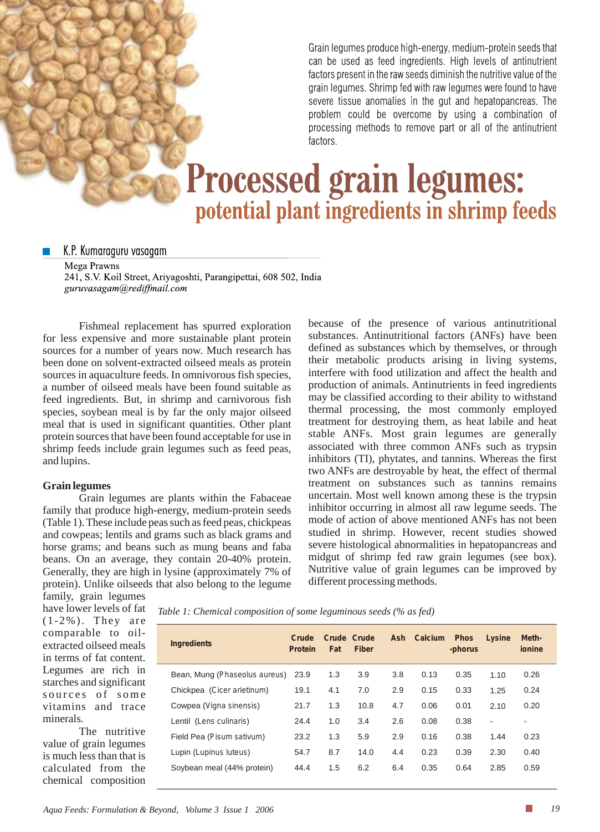Grain legumes produce high-energy, medium-protein seeds that can be used as feed ingredients. High levels of antinutrient factors present in the raw seeds diminish the nutritive value of the grain legumes. Shrimp fed with raw legumes were found to have severe tissue anomalies in the gut and hepatopancreas. The problem could be overcome by using a combination of processing methods to remove part or all of the antinutrient factors.

# **Processed grain legumes:** potential plant ingredients in shrimp feeds

K.P. Kumaraguru vasagam

Mega Prawns 241, S.V. Koil Street, Ariyagoshti, Parangipettai, 608 502, India guruvasagam@rediffmail.com

Fishmeal replacement has spurred exploration for less expensive and more sustainable plant protein sources for a number of years now. Much research has been done on solvent-extracted oilseed meals as protein sources in aquaculture feeds. In omnivorous fish species, a number of oilseed meals have been found suitable as feed ingredients. But, in shrimp and carnivorous fish species, soybean meal is by far the only major oilseed meal that is used in significant quantities. Other plant protein sources that have been found acceptable for use in shrimp feeds include grain legumes such as feed peas, and lupins.

#### **Grain legumes**

Grain legumes are plants within the Fabaceae family that produce high-energy, medium-protein seeds (Table 1). These include peas such as feed peas, chickpeas and cowpeas; lentils and grams such as black grams and horse grams; and beans such as mung beans and faba beans. On an average, they contain 20-40% protein. Generally, they are high in lysine (approximately 7% of protein). Unlike oilseeds that also belong to the legume

because of the presence of various antinutritional substances. Antinutritional factors (ANFs) have been defined as substances which by themselves, or through their metabolic products arising in living systems, interfere with food utilization and affect the health and production of animals. Antinutrients in feed ingredients may be classified according to their ability to withstand thermal processing, the most commonly employed treatment for destroying them, as heat labile and heat stable ANFs. Most grain legumes are generally associated with three common ANFs such as trypsin inhibitors (TI), phytates, and tannins. Whereas the first two ANFs are destroyable by heat, the effect of thermal treatment on substances such as tannins remains uncertain. Most well known among these is the trypsin inhibitor occurring in almost all raw legume seeds. The mode of action of above mentioned ANFs has not been studied in shrimp. However, recent studies showed severe histological abnormalities in hepatopancreas and midgut of shrimp fed raw grain legumes (see box). Nutritive value of grain legumes can be improved by different processing methods.

family, grain legumes have lower levels of fat (1-2%). They are comparable to oilextracted oilseed meals in terms of fat content. Legumes are rich in starches and significant sources of some vitamins and trace minerals.

The nutritive value of grain legumes is much less than that is calculated from the chemical composition *Table 1: Chemical composition of some leguminous seeds (% as fed)*

| <b>Ingredients</b>            | Crude<br><b>Protein</b> | Crude Crude<br>Fat | <b>Fiber</b> | <b>Ash</b> | <b>Calcium</b> | <b>Phos</b><br>-phorus | Lysine                   | Meth-<br>ionine |
|-------------------------------|-------------------------|--------------------|--------------|------------|----------------|------------------------|--------------------------|-----------------|
| Bean, Mung (Phaseolus aureus) | 23.9                    | 1.3                | 3.9          | 3.8        | 0.13           | 0.35                   | 1.10                     | 0.26            |
| Chickpea (Cicer arietinum)    | 19.1                    | 4.1                | 7.0          | 2.9        | 0.15           | 0.33                   | 1.25                     | 0.24            |
| Cowpea (Vigna sinensis)       | 21.7                    | 1.3                | 10.8         | 4.7        | 0.06           | 0.01                   | 2.10                     | 0.20            |
| Lentil (Lens culinaris)       | 24.4                    | 1.0                | 3.4          | 2.6        | 0.08           | 0.38                   | $\overline{\phantom{a}}$ |                 |
| Field Pea (Pisum sativum)     | 23.2                    | 1.3                | 5.9          | 2.9        | 0.16           | 0.38                   | 1.44                     | 0.23            |
| Lupin (Lupinus luteus)        | 54.7                    | 8.7                | 14.0         | 4.4        | 0.23           | 0.39                   | 2.30                     | 0.40            |
| Soybean meal (44% protein)    | 44.4                    | 1.5                | 6.2          | 6.4        | 0.35           | 0.64                   | 2.85                     | 0.59            |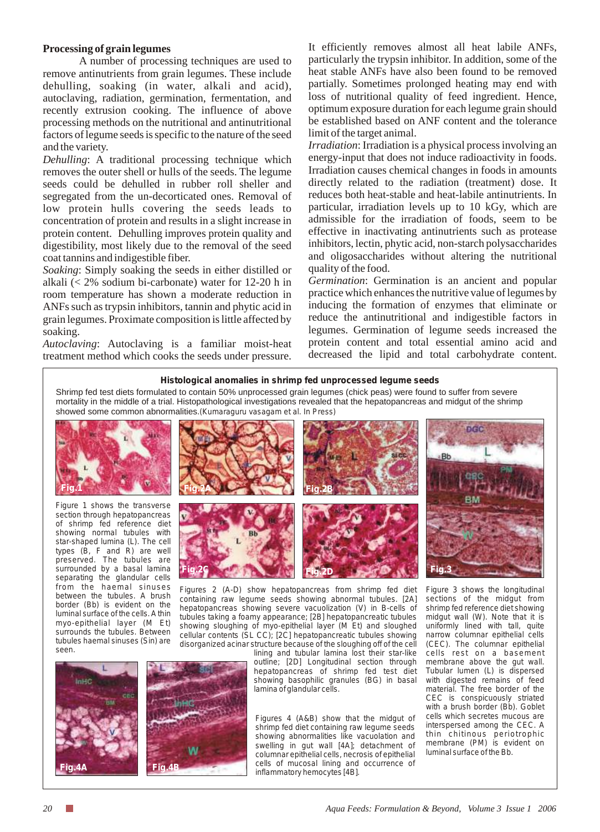# **Processing of grain legumes**

A number of processing techniques are used to remove antinutrients from grain legumes. These include dehulling, soaking (in water, alkali and acid), autoclaving, radiation, germination, fermentation, and recently extrusion cooking. The influence of above processing methods on the nutritional and antinutritional factors of legume seeds is specific to the nature of the seed and the variety.

*Dehulling*: A traditional processing technique which removes the outer shell or hulls of the seeds. The legume seeds could be dehulled in rubber roll sheller and segregated from the un-decorticated ones. Removal of low protein hulls covering the seeds leads to concentration of protein and results in a slight increase in protein content. Dehulling improves protein quality and digestibility, most likely due to the removal of the seed coat tannins and indigestible fiber.

*Soaking*: Simply soaking the seeds in either distilled or alkali (< 2% sodium bi-carbonate) water for 12*-*20 h in room temperature has shown a moderate reduction in ANFs such as trypsin inhibitors, tannin and phytic acid in grain legumes. Proximate composition is little affected by soaking.

*Autoclaving*: Autoclaving is a familiar moist-heat treatment method which cooks the seeds under pressure.

It efficiently removes almost all heat labile ANFs, particularly the trypsin inhibitor. In addition, some of the heat stable ANFs have also been found to be removed partially. Sometimes prolonged heating may end with loss of nutritional quality of feed ingredient. Hence, optimum exposure duration for each legume grain should be established based on ANF content and the tolerance limit of the target animal.

*Irradiation*: Irradiation is a physical process involving an energy-input that does not induce radioactivity in foods. Irradiation causes chemical changes in foods in amounts directly related to the radiation (treatment) dose. It reduces both heat-stable and heat-labile antinutrients. In particular, irradiation levels up to 10 kGy, which are admissible for the irradiation of foods, seem to be effective in inactivating antinutrients such as protease inhibitors, lectin, phytic acid, non-starch polysaccharides and oligosaccharides without altering the nutritional quality of the food.

*Germination*: Germination is an ancient and popular practice which enhances the nutritive value of legumes by inducing the formation of enzymes that eliminate or reduce the antinutritional and indigestible factors in legumes. Germination of legume seeds increased the protein content and total essential amino acid and decreased the lipid and total carbohydrate content.

### **Histological anomalies in shrimp fed unprocessed legume seeds**

Shrimp fed test diets formulated to contain 50% unprocessed grain legumes (chick peas) were found to suffer from severe mortality in the middle of a trial. Histopathological investigations revealed that the hepatopancreas and midgut of the shrimp showed some common abnormalities.*(Kumaraguru vasagam et al. In Press)*



*Figure 1 shows the transverse section through hepatopancreas of shrimp fed reference diet showing normal tubules with star-shaped lumina (L). The cell types (B, F and R) are well preserved. The tubules are surrounded by a basal lamina separating the glandular cells from the haemal sinuses between the tubules. A brush border (Bb) is evident on the luminal surface of the cells. Athin myo-epithelial layer (M Et) surrounds the tubules. Between tubules haemal sinuses (Sin) are seen.*



*Figures 2 (A-D) show hepatopancreas from shrimp fed diet containing raw legume seeds showing abnormal tubules. [2A] hepatopancreas showing severe vacuolization (V) in B-cells of tubules taking a foamy appearance; [2B] hepatopancreatic tubules showing sloughing of myo-epithelial layer (M Et) and sloughed cellular contents (SL CC); [2C] hepatopancreatic tubules showing disorganized acinar structure because of the sloughing off of the cell* 

*lining and tubular lamina lost their star-like outline; [2D] Longitudinal section through hepatopancreas of shrimp fed test diet showing basophilic granules (BG) in basal lamina of glandular cells.*

*Figures 4 (A&B) show that the midgut of shrimp fed diet containing raw legume seeds showing abnormalities like vacuolation and swelling in gut wall [4A]; detachment of columnar epithelial cells, necrosis of epithelial cells of mucosal lining and occurrence of inflammatory hemocytes [4B].* 

*Figure 3 shows the longitudinal sections of the midgut from shrimp fed reference diet showing midgut wall (W). Note that it is uniformly lined with tall, quite narrow columnar epithelial cells (CEC). The columnar epithelial cells rest on a basement membrane above the gut wall. Tubular lumen (L) is dispersed with digested remains of feed material. The free border of the CEC is conspicuously striated with a brush border (Bb). Goblet cells which secretes mucous are interspersed among the CEC. A thin chitinous periotrophic membrane (PM) is evident on luminal surface of the Bb.*